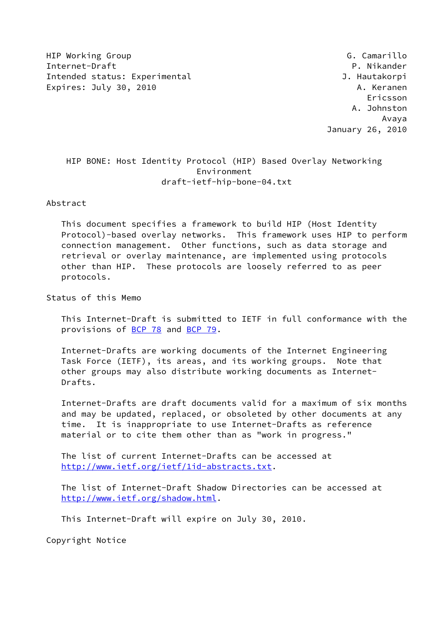HIP Working Group G. Camarillo Internet-Draft P. Nikander Intended status: Experimental distribution of the U. Hautakorpi Expires: July 30, 2010 **A. Keranen** 

 Ericsson A. Johnston Avaya January 26, 2010

# HIP BONE: Host Identity Protocol (HIP) Based Overlay Networking Environment draft-ietf-hip-bone-04.txt

Abstract

 This document specifies a framework to build HIP (Host Identity Protocol)-based overlay networks. This framework uses HIP to perform connection management. Other functions, such as data storage and retrieval or overlay maintenance, are implemented using protocols other than HIP. These protocols are loosely referred to as peer protocols.

Status of this Memo

 This Internet-Draft is submitted to IETF in full conformance with the provisions of [BCP 78](https://datatracker.ietf.org/doc/pdf/bcp78) and [BCP 79](https://datatracker.ietf.org/doc/pdf/bcp79).

 Internet-Drafts are working documents of the Internet Engineering Task Force (IETF), its areas, and its working groups. Note that other groups may also distribute working documents as Internet- Drafts.

 Internet-Drafts are draft documents valid for a maximum of six months and may be updated, replaced, or obsoleted by other documents at any time. It is inappropriate to use Internet-Drafts as reference material or to cite them other than as "work in progress."

 The list of current Internet-Drafts can be accessed at <http://www.ietf.org/ietf/1id-abstracts.txt>.

 The list of Internet-Draft Shadow Directories can be accessed at <http://www.ietf.org/shadow.html>.

This Internet-Draft will expire on July 30, 2010.

Copyright Notice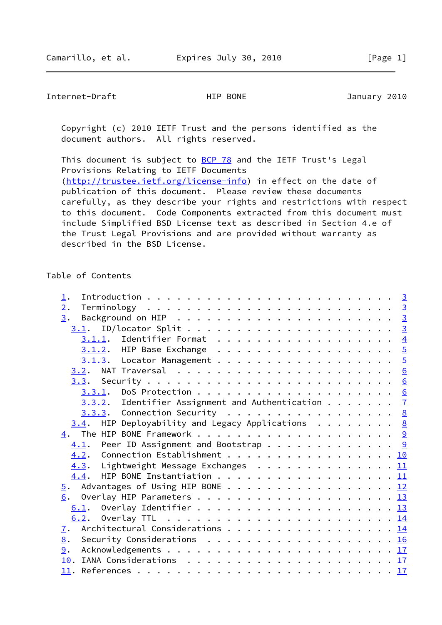Internet-Draft HIP BONE HIP BONE January 2010

 Copyright (c) 2010 IETF Trust and the persons identified as the document authors. All rights reserved.

This document is subject to **[BCP 78](https://datatracker.ietf.org/doc/pdf/bcp78)** and the IETF Trust's Legal Provisions Relating to IETF Documents [\(http://trustee.ietf.org/license-info](http://trustee.ietf.org/license-info)) in effect on the date of publication of this document. Please review these documents carefully, as they describe your rights and restrictions with respect to this document. Code Components extracted from this document must include Simplified BSD License text as described in Section 4.e of the Trust Legal Provisions and are provided without warranty as described in the BSD License.

#### Table of Contents

| $\perp$ .                                                        |  |
|------------------------------------------------------------------|--|
| 2.                                                               |  |
| 3.                                                               |  |
|                                                                  |  |
| $3.1.1.$ Identifier Format 4                                     |  |
| 3.1.2. HIP Base Exchange 5                                       |  |
| 3.1.3. Locator Management 5                                      |  |
|                                                                  |  |
|                                                                  |  |
|                                                                  |  |
| $3.3.2$ . Identifier Assignment and Authentication $\frac{7}{2}$ |  |
| $3.3.3.$ Connection Security 8                                   |  |
| $3.4$ . HIP Deployability and Legacy Applications 8              |  |
|                                                                  |  |
| $\underline{4.1}$ . Peer ID Assignment and Bootstrap 9           |  |
| 4.2. Connection Establishment 10                                 |  |
| 4.3. Lightweight Message Exchanges 11                            |  |
| $\underline{4.4}$ . HIP BONE Instantiation 11                    |  |
| $\frac{5}{2}$ . Advantages of Using HIP BONE 12                  |  |
|                                                                  |  |
|                                                                  |  |
|                                                                  |  |
| Architectural Considerations 1 <u>4</u><br>$\mathbf{I}$ .        |  |
| 8. Security Considerations 16                                    |  |
| 9.                                                               |  |
|                                                                  |  |
|                                                                  |  |
|                                                                  |  |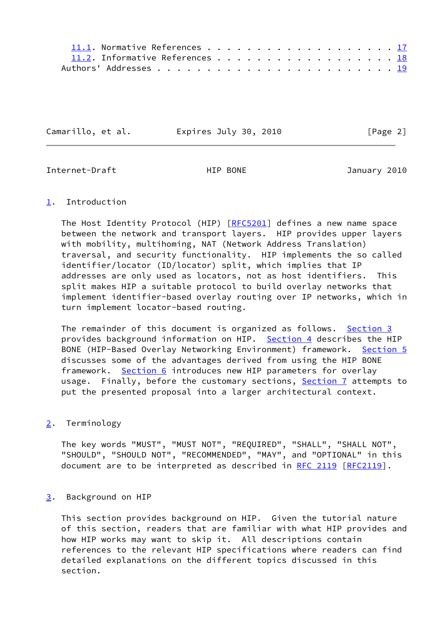| 11.2. Informative References 18 |  |  |  |  |  |  |  |  |  |  |
|---------------------------------|--|--|--|--|--|--|--|--|--|--|
|                                 |  |  |  |  |  |  |  |  |  |  |

Camarillo, et al. Expires July 30, 2010 [Page 2]

<span id="page-2-1"></span>Internet-Draft HIP BONE January 2010

## <span id="page-2-0"></span>[1](#page-2-0). Introduction

The Host Identity Protocol (HIP) [\[RFC5201](https://datatracker.ietf.org/doc/pdf/rfc5201)] defines a new name space between the network and transport layers. HIP provides upper layers with mobility, multihoming, NAT (Network Address Translation) traversal, and security functionality. HIP implements the so called identifier/locator (ID/locator) split, which implies that IP addresses are only used as locators, not as host identifiers. This split makes HIP a suitable protocol to build overlay networks that implement identifier-based overlay routing over IP networks, which in turn implement locator-based routing.

The remainder of this document is organized as follows. [Section 3](#page-2-3) provides background information on HIP. [Section 4](#page-9-0) describes the HIP BONE (HIP-Based Overlay Networking Environment) framework. [Section 5](#page-13-0) discusses some of the advantages derived from using the HIP BONE framework. [Section 6](#page-13-1) introduces new HIP parameters for overlay usage. Finally, before the customary sections, [Section 7](#page-15-0) attempts to put the presented proposal into a larger architectural context.

## <span id="page-2-2"></span>[2](#page-2-2). Terminology

 The key words "MUST", "MUST NOT", "REQUIRED", "SHALL", "SHALL NOT", "SHOULD", "SHOULD NOT", "RECOMMENDED", "MAY", and "OPTIONAL" in this document are to be interpreted as described in [RFC 2119 \[RFC2119](https://datatracker.ietf.org/doc/pdf/rfc2119)].

## <span id="page-2-3"></span>[3](#page-2-3). Background on HIP

 This section provides background on HIP. Given the tutorial nature of this section, readers that are familiar with what HIP provides and how HIP works may want to skip it. All descriptions contain references to the relevant HIP specifications where readers can find detailed explanations on the different topics discussed in this section.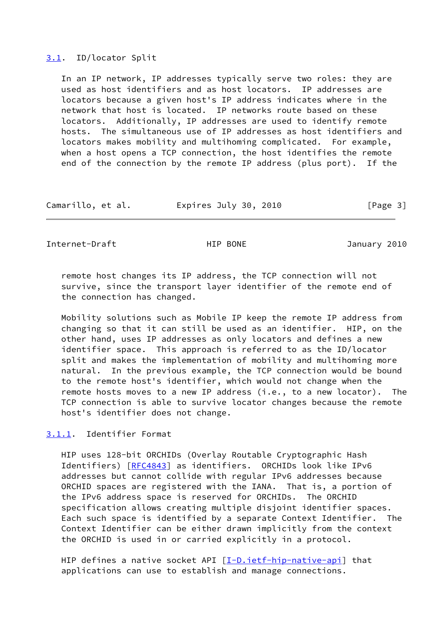#### <span id="page-3-0"></span>[3.1](#page-3-0). ID/locator Split

 In an IP network, IP addresses typically serve two roles: they are used as host identifiers and as host locators. IP addresses are locators because a given host's IP address indicates where in the network that host is located. IP networks route based on these locators. Additionally, IP addresses are used to identify remote hosts. The simultaneous use of IP addresses as host identifiers and locators makes mobility and multihoming complicated. For example, when a host opens a TCP connection, the host identifies the remote end of the connection by the remote IP address (plus port). If the

| Camarillo, et al. | Expires July 30, 2010 | [Page 3] |
|-------------------|-----------------------|----------|
|-------------------|-----------------------|----------|

<span id="page-3-2"></span>Internet-Draft HIP BONE January 2010

 remote host changes its IP address, the TCP connection will not survive, since the transport layer identifier of the remote end of the connection has changed.

 Mobility solutions such as Mobile IP keep the remote IP address from changing so that it can still be used as an identifier. HIP, on the other hand, uses IP addresses as only locators and defines a new identifier space. This approach is referred to as the ID/locator split and makes the implementation of mobility and multihoming more natural. In the previous example, the TCP connection would be bound to the remote host's identifier, which would not change when the remote hosts moves to a new IP address (i.e., to a new locator). The TCP connection is able to survive locator changes because the remote host's identifier does not change.

<span id="page-3-1"></span>[3.1.1](#page-3-1). Identifier Format

 HIP uses 128-bit ORCHIDs (Overlay Routable Cryptographic Hash Identifiers) [\[RFC4843](https://datatracker.ietf.org/doc/pdf/rfc4843)] as identifiers. ORCHIDs look like IPv6 addresses but cannot collide with regular IPv6 addresses because ORCHID spaces are registered with the IANA. That is, a portion of the IPv6 address space is reserved for ORCHIDs. The ORCHID specification allows creating multiple disjoint identifier spaces. Each such space is identified by a separate Context Identifier. The Context Identifier can be either drawn implicitly from the context the ORCHID is used in or carried explicitly in a protocol.

HIP defines a native socket API  $[I-D.ietf-hip-native-api]$  $[I-D.ietf-hip-native-api]$  that applications can use to establish and manage connections.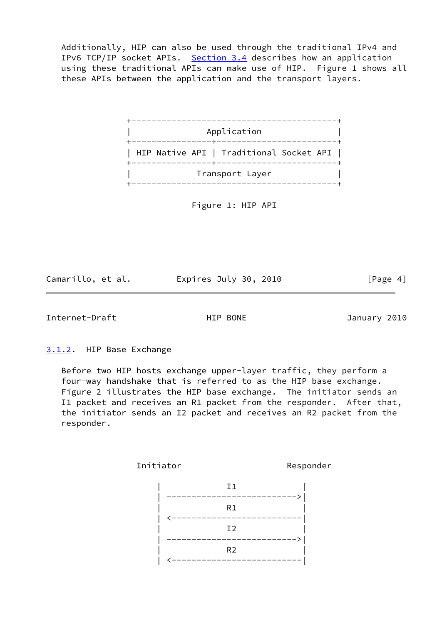Additionally, HIP can also be used through the traditional IPv4 and IPv6 TCP/IP socket APIs. [Section 3.4](#page-8-0) describes how an application using these traditional APIs can make use of HIP. Figure 1 shows all these APIs between the application and the transport layers.



Figure 1: HIP API

Camarillo, et al. <br>Expires July 30, 2010 [Page 4]

<span id="page-4-1"></span>Internet-Draft **HIP BONE** January 2010

<span id="page-4-0"></span>[3.1.2](#page-4-0). HIP Base Exchange

 Before two HIP hosts exchange upper-layer traffic, they perform a four-way handshake that is referred to as the HIP base exchange. Figure 2 illustrates the HIP base exchange. The initiator sends an I1 packet and receives an R1 packet from the responder. After that, the initiator sends an I2 packet and receives an R2 packet from the responder.

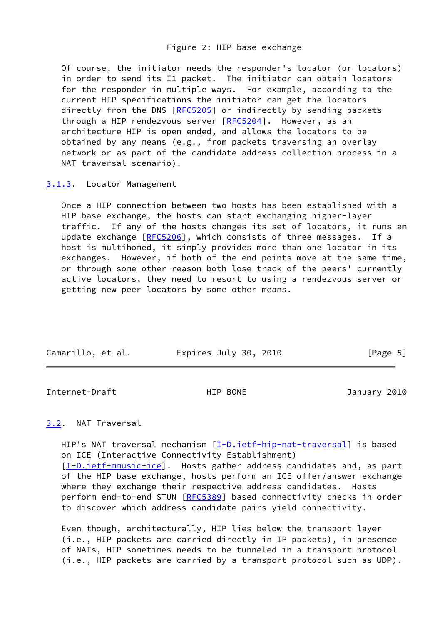## Figure 2: HIP base exchange

 Of course, the initiator needs the responder's locator (or locators) in order to send its I1 packet. The initiator can obtain locators for the responder in multiple ways. For example, according to the current HIP specifications the initiator can get the locators directly from the DNS [[RFC5205](https://datatracker.ietf.org/doc/pdf/rfc5205)] or indirectly by sending packets through a HIP rendezvous server [\[RFC5204](https://datatracker.ietf.org/doc/pdf/rfc5204)]. However, as an architecture HIP is open ended, and allows the locators to be obtained by any means (e.g., from packets traversing an overlay network or as part of the candidate address collection process in a NAT traversal scenario).

<span id="page-5-0"></span>[3.1.3](#page-5-0). Locator Management

 Once a HIP connection between two hosts has been established with a HIP base exchange, the hosts can start exchanging higher-layer traffic. If any of the hosts changes its set of locators, it runs an update exchange [\[RFC5206](https://datatracker.ietf.org/doc/pdf/rfc5206)], which consists of three messages. If a host is multihomed, it simply provides more than one locator in its exchanges. However, if both of the end points move at the same time, or through some other reason both lose track of the peers' currently active locators, they need to resort to using a rendezvous server or getting new peer locators by some other means.

| Camarillo, et al. | Expires July 30, 2010 | [Page 5] |
|-------------------|-----------------------|----------|

<span id="page-5-2"></span>Internet-Draft HIP BONE HIP BONE January 2010

<span id="page-5-1"></span>[3.2](#page-5-1). NAT Traversal

HIP's NAT traversal mechanism [[I-D.ietf-hip-nat-traversal\]](#page-19-2) is based on ICE (Interactive Connectivity Establishment) [\[I-D.ietf-mmusic-ice](#page-20-2)]. Hosts gather address candidates and, as part of the HIP base exchange, hosts perform an ICE offer/answer exchange where they exchange their respective address candidates. Hosts perform end-to-end STUN [\[RFC5389](https://datatracker.ietf.org/doc/pdf/rfc5389)] based connectivity checks in order to discover which address candidate pairs yield connectivity.

 Even though, architecturally, HIP lies below the transport layer (i.e., HIP packets are carried directly in IP packets), in presence of NATs, HIP sometimes needs to be tunneled in a transport protocol (i.e., HIP packets are carried by a transport protocol such as UDP).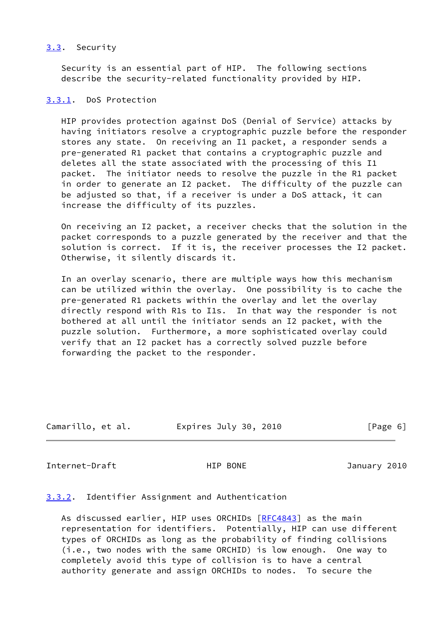## <span id="page-6-0"></span>[3.3](#page-6-0). Security

 Security is an essential part of HIP. The following sections describe the security-related functionality provided by HIP.

#### <span id="page-6-1"></span>[3.3.1](#page-6-1). DoS Protection

 HIP provides protection against DoS (Denial of Service) attacks by having initiators resolve a cryptographic puzzle before the responder stores any state. On receiving an I1 packet, a responder sends a pre-generated R1 packet that contains a cryptographic puzzle and deletes all the state associated with the processing of this I1 packet. The initiator needs to resolve the puzzle in the R1 packet in order to generate an I2 packet. The difficulty of the puzzle can be adjusted so that, if a receiver is under a DoS attack, it can increase the difficulty of its puzzles.

 On receiving an I2 packet, a receiver checks that the solution in the packet corresponds to a puzzle generated by the receiver and that the solution is correct. If it is, the receiver processes the I2 packet. Otherwise, it silently discards it.

 In an overlay scenario, there are multiple ways how this mechanism can be utilized within the overlay. One possibility is to cache the pre-generated R1 packets within the overlay and let the overlay directly respond with R1s to I1s. In that way the responder is not bothered at all until the initiator sends an I2 packet, with the puzzle solution. Furthermore, a more sophisticated overlay could verify that an I2 packet has a correctly solved puzzle before forwarding the packet to the responder.

| Camarillo, et al. | Expires July 30, 2010 | [Page 6] |
|-------------------|-----------------------|----------|
|                   |                       |          |

<span id="page-6-3"></span>Internet-Draft HIP BONE HIP BONE January 2010

## <span id="page-6-2"></span>[3.3.2](#page-6-2). Identifier Assignment and Authentication

 As discussed earlier, HIP uses ORCHIDs [\[RFC4843](https://datatracker.ietf.org/doc/pdf/rfc4843)] as the main representation for identifiers. Potentially, HIP can use different types of ORCHIDs as long as the probability of finding collisions (i.e., two nodes with the same ORCHID) is low enough. One way to completely avoid this type of collision is to have a central authority generate and assign ORCHIDs to nodes. To secure the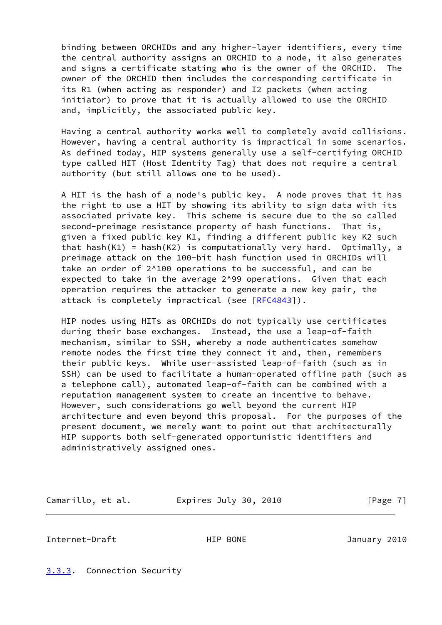binding between ORCHIDs and any higher-layer identifiers, every time the central authority assigns an ORCHID to a node, it also generates and signs a certificate stating who is the owner of the ORCHID. The owner of the ORCHID then includes the corresponding certificate in its R1 (when acting as responder) and I2 packets (when acting initiator) to prove that it is actually allowed to use the ORCHID and, implicitly, the associated public key.

 Having a central authority works well to completely avoid collisions. However, having a central authority is impractical in some scenarios. As defined today, HIP systems generally use a self-certifying ORCHID type called HIT (Host Identity Tag) that does not require a central authority (but still allows one to be used).

 A HIT is the hash of a node's public key. A node proves that it has the right to use a HIT by showing its ability to sign data with its associated private key. This scheme is secure due to the so called second-preimage resistance property of hash functions. That is, given a fixed public key K1, finding a different public key K2 such that hash(K1) = hash(K2) is computationally very hard. Optimally, a preimage attack on the 100-bit hash function used in ORCHIDs will take an order of 2^100 operations to be successful, and can be expected to take in the average 2^99 operations. Given that each operation requires the attacker to generate a new key pair, the attack is completely impractical (see [[RFC4843](https://datatracker.ietf.org/doc/pdf/rfc4843)]).

 HIP nodes using HITs as ORCHIDs do not typically use certificates during their base exchanges. Instead, the use a leap-of-faith mechanism, similar to SSH, whereby a node authenticates somehow remote nodes the first time they connect it and, then, remembers their public keys. While user-assisted leap-of-faith (such as in SSH) can be used to facilitate a human-operated offline path (such as a telephone call), automated leap-of-faith can be combined with a reputation management system to create an incentive to behave. However, such considerations go well beyond the current HIP architecture and even beyond this proposal. For the purposes of the present document, we merely want to point out that architecturally HIP supports both self-generated opportunistic identifiers and administratively assigned ones.

Camarillo, et al. Expires July 30, 2010 [Page 7]

<span id="page-7-1"></span>Internet-Draft HIP BONE January 2010

<span id="page-7-0"></span>[3.3.3](#page-7-0). Connection Security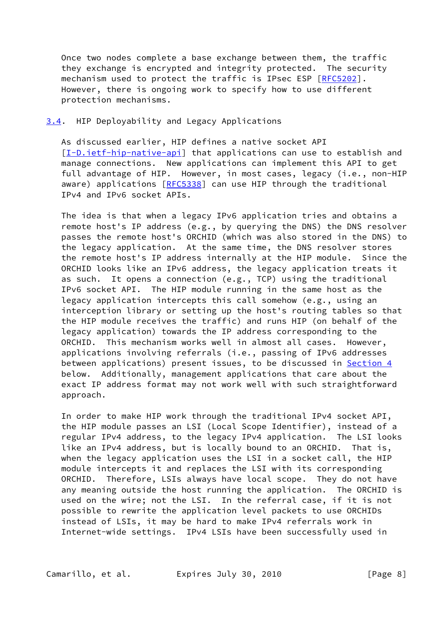Once two nodes complete a base exchange between them, the traffic they exchange is encrypted and integrity protected. The security mechanism used to protect the traffic is IPsec ESP [[RFC5202\]](https://datatracker.ietf.org/doc/pdf/rfc5202). However, there is ongoing work to specify how to use different protection mechanisms.

#### <span id="page-8-0"></span>[3.4](#page-8-0). HIP Deployability and Legacy Applications

 As discussed earlier, HIP defines a native socket API [\[I-D.ietf-hip-native-api](#page-19-1)] that applications can use to establish and manage connections. New applications can implement this API to get full advantage of HIP. However, in most cases, legacy (i.e., non-HIP aware) applications [\[RFC5338](https://datatracker.ietf.org/doc/pdf/rfc5338)] can use HIP through the traditional IPv4 and IPv6 socket APIs.

 The idea is that when a legacy IPv6 application tries and obtains a remote host's IP address (e.g., by querying the DNS) the DNS resolver passes the remote host's ORCHID (which was also stored in the DNS) to the legacy application. At the same time, the DNS resolver stores the remote host's IP address internally at the HIP module. Since the ORCHID looks like an IPv6 address, the legacy application treats it as such. It opens a connection (e.g., TCP) using the traditional IPv6 socket API. The HIP module running in the same host as the legacy application intercepts this call somehow (e.g., using an interception library or setting up the host's routing tables so that the HIP module receives the traffic) and runs HIP (on behalf of the legacy application) towards the IP address corresponding to the ORCHID. This mechanism works well in almost all cases. However, applications involving referrals (i.e., passing of IPv6 addresses between applications) present issues, to be discussed in **Section 4**  below. Additionally, management applications that care about the exact IP address format may not work well with such straightforward approach.

 In order to make HIP work through the traditional IPv4 socket API, the HIP module passes an LSI (Local Scope Identifier), instead of a regular IPv4 address, to the legacy IPv4 application. The LSI looks like an IPv4 address, but is locally bound to an ORCHID. That is, when the legacy application uses the LSI in a socket call, the HIP module intercepts it and replaces the LSI with its corresponding ORCHID. Therefore, LSIs always have local scope. They do not have any meaning outside the host running the application. The ORCHID is used on the wire; not the LSI. In the referral case, if it is not possible to rewrite the application level packets to use ORCHIDs instead of LSIs, it may be hard to make IPv4 referrals work in Internet-wide settings. IPv4 LSIs have been successfully used in

Camarillo, et al. Expires July 30, 2010 [Page 8]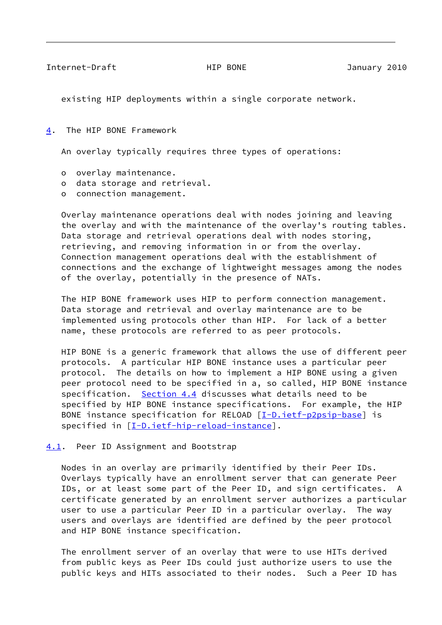<span id="page-9-1"></span>Internet-Draft HIP BONE January 2010

existing HIP deployments within a single corporate network.

<span id="page-9-0"></span>[4](#page-9-0). The HIP BONE Framework

An overlay typically requires three types of operations:

- o overlay maintenance.
- o data storage and retrieval.
- o connection management.

 Overlay maintenance operations deal with nodes joining and leaving the overlay and with the maintenance of the overlay's routing tables. Data storage and retrieval operations deal with nodes storing, retrieving, and removing information in or from the overlay. Connection management operations deal with the establishment of connections and the exchange of lightweight messages among the nodes of the overlay, potentially in the presence of NATs.

 The HIP BONE framework uses HIP to perform connection management. Data storage and retrieval and overlay maintenance are to be implemented using protocols other than HIP. For lack of a better name, these protocols are referred to as peer protocols.

 HIP BONE is a generic framework that allows the use of different peer protocols. A particular HIP BONE instance uses a particular peer protocol. The details on how to implement a HIP BONE using a given peer protocol need to be specified in a, so called, HIP BONE instance specification. [Section 4.4](#page-12-0) discusses what details need to be specified by HIP BONE instance specifications. For example, the HIP BONE instance specification for RELOAD [\[I-D.ietf-p2psip-base](#page-20-3)] is specified in [\[I-D.ietf-hip-reload-instance](#page-20-4)].

<span id="page-9-2"></span>[4.1](#page-9-2). Peer ID Assignment and Bootstrap

 Nodes in an overlay are primarily identified by their Peer IDs. Overlays typically have an enrollment server that can generate Peer IDs, or at least some part of the Peer ID, and sign certificates. A certificate generated by an enrollment server authorizes a particular user to use a particular Peer ID in a particular overlay. The way users and overlays are identified are defined by the peer protocol and HIP BONE instance specification.

 The enrollment server of an overlay that were to use HITs derived from public keys as Peer IDs could just authorize users to use the public keys and HITs associated to their nodes. Such a Peer ID has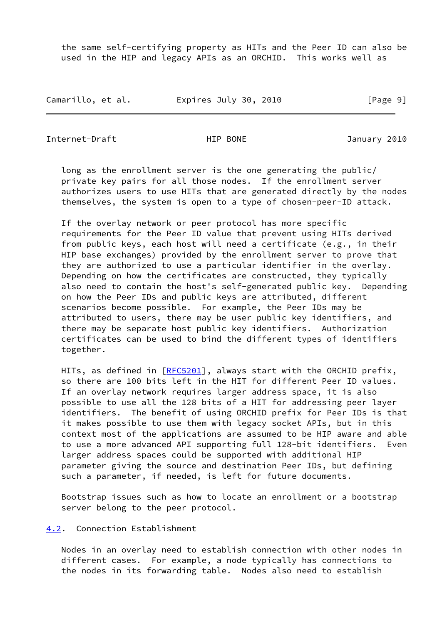the same self-certifying property as HITs and the Peer ID can also be used in the HIP and legacy APIs as an ORCHID. This works well as

Camarillo, et al. <br>
Expires July 30, 2010 [Page 9]

<span id="page-10-1"></span>Internet-Draft HIP BONE January 2010

 long as the enrollment server is the one generating the public/ private key pairs for all those nodes. If the enrollment server authorizes users to use HITs that are generated directly by the nodes themselves, the system is open to a type of chosen-peer-ID attack.

 If the overlay network or peer protocol has more specific requirements for the Peer ID value that prevent using HITs derived from public keys, each host will need a certificate (e.g., in their HIP base exchanges) provided by the enrollment server to prove that they are authorized to use a particular identifier in the overlay. Depending on how the certificates are constructed, they typically also need to contain the host's self-generated public key. Depending on how the Peer IDs and public keys are attributed, different scenarios become possible. For example, the Peer IDs may be attributed to users, there may be user public key identifiers, and there may be separate host public key identifiers. Authorization certificates can be used to bind the different types of identifiers together.

HITs, as defined in [\[RFC5201](https://datatracker.ietf.org/doc/pdf/rfc5201)], always start with the ORCHID prefix, so there are 100 bits left in the HIT for different Peer ID values. If an overlay network requires larger address space, it is also possible to use all the 128 bits of a HIT for addressing peer layer identifiers. The benefit of using ORCHID prefix for Peer IDs is that it makes possible to use them with legacy socket APIs, but in this context most of the applications are assumed to be HIP aware and able to use a more advanced API supporting full 128-bit identifiers. Even larger address spaces could be supported with additional HIP parameter giving the source and destination Peer IDs, but defining such a parameter, if needed, is left for future documents.

 Bootstrap issues such as how to locate an enrollment or a bootstrap server belong to the peer protocol.

<span id="page-10-0"></span>[4.2](#page-10-0). Connection Establishment

 Nodes in an overlay need to establish connection with other nodes in different cases. For example, a node typically has connections to the nodes in its forwarding table. Nodes also need to establish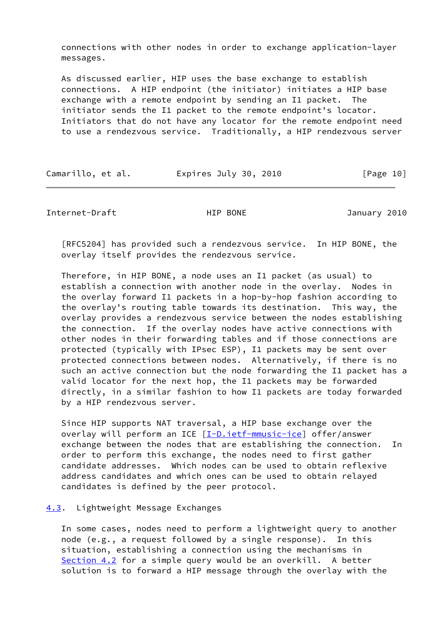connections with other nodes in order to exchange application-layer messages.

 As discussed earlier, HIP uses the base exchange to establish connections. A HIP endpoint (the initiator) initiates a HIP base exchange with a remote endpoint by sending an I1 packet. The initiator sends the I1 packet to the remote endpoint's locator. Initiators that do not have any locator for the remote endpoint need to use a rendezvous service. Traditionally, a HIP rendezvous server

| Camarillo, et al. | Expires July 30, 2010 | [Page 10] |
|-------------------|-----------------------|-----------|
|-------------------|-----------------------|-----------|

<span id="page-11-1"></span>Internet-Draft **HIP BONE** HIP BONE January 2010

 [RFC5204] has provided such a rendezvous service. In HIP BONE, the overlay itself provides the rendezvous service.

 Therefore, in HIP BONE, a node uses an I1 packet (as usual) to establish a connection with another node in the overlay. Nodes in the overlay forward I1 packets in a hop-by-hop fashion according to the overlay's routing table towards its destination. This way, the overlay provides a rendezvous service between the nodes establishing the connection. If the overlay nodes have active connections with other nodes in their forwarding tables and if those connections are protected (typically with IPsec ESP), I1 packets may be sent over protected connections between nodes. Alternatively, if there is no such an active connection but the node forwarding the I1 packet has a valid locator for the next hop, the I1 packets may be forwarded directly, in a similar fashion to how I1 packets are today forwarded by a HIP rendezvous server.

 Since HIP supports NAT traversal, a HIP base exchange over the overlay will perform an ICE [\[I-D.ietf-mmusic-ice](#page-20-2)] offer/answer exchange between the nodes that are establishing the connection. In order to perform this exchange, the nodes need to first gather candidate addresses. Which nodes can be used to obtain reflexive address candidates and which ones can be used to obtain relayed candidates is defined by the peer protocol.

## <span id="page-11-0"></span>[4.3](#page-11-0). Lightweight Message Exchanges

 In some cases, nodes need to perform a lightweight query to another node (e.g., a request followed by a single response). In this situation, establishing a connection using the mechanisms in [Section 4.2](#page-10-0) for a simple query would be an overkill. A better solution is to forward a HIP message through the overlay with the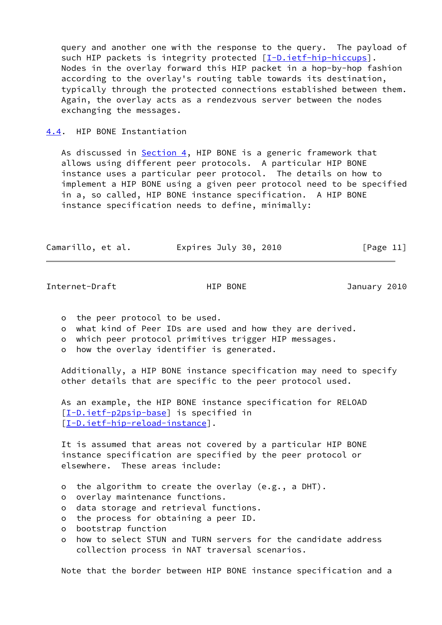query and another one with the response to the query. The payload of such HIP packets is integrity protected [\[I-D.ietf-hip-hiccups](#page-19-3)]. Nodes in the overlay forward this HIP packet in a hop-by-hop fashion according to the overlay's routing table towards its destination, typically through the protected connections established between them. Again, the overlay acts as a rendezvous server between the nodes exchanging the messages.

<span id="page-12-0"></span>[4.4](#page-12-0). HIP BONE Instantiation

As discussed in  $Section 4$ , HIP BONE is a generic framework that allows using different peer protocols. A particular HIP BONE instance uses a particular peer protocol. The details on how to implement a HIP BONE using a given peer protocol need to be specified in a, so called, HIP BONE instance specification. A HIP BONE instance specification needs to define, minimally:

| Camarillo, et al. | Expires July 30, 2010 | [Page 11] |
|-------------------|-----------------------|-----------|
|                   |                       |           |

<span id="page-12-1"></span>Internet-Draft HIP BONE HIP BONE January 2010

- o the peer protocol to be used.
- o what kind of Peer IDs are used and how they are derived.
- o which peer protocol primitives trigger HIP messages.
- o how the overlay identifier is generated.

 Additionally, a HIP BONE instance specification may need to specify other details that are specific to the peer protocol used.

 As an example, the HIP BONE instance specification for RELOAD [\[I-D.ietf-p2psip-base](#page-20-3)] is specified in [\[I-D.ietf-hip-reload-instance](#page-20-4)].

 It is assumed that areas not covered by a particular HIP BONE instance specification are specified by the peer protocol or elsewhere. These areas include:

- o the algorithm to create the overlay (e.g., a DHT).
- o overlay maintenance functions.
- o data storage and retrieval functions.
- o the process for obtaining a peer ID.
- o bootstrap function
- o how to select STUN and TURN servers for the candidate address collection process in NAT traversal scenarios.

Note that the border between HIP BONE instance specification and a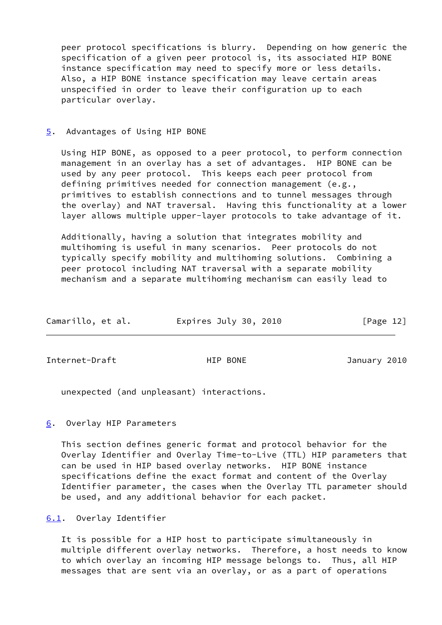peer protocol specifications is blurry. Depending on how generic the specification of a given peer protocol is, its associated HIP BONE instance specification may need to specify more or less details. Also, a HIP BONE instance specification may leave certain areas unspecified in order to leave their configuration up to each particular overlay.

#### <span id="page-13-0"></span>[5](#page-13-0). Advantages of Using HIP BONE

 Using HIP BONE, as opposed to a peer protocol, to perform connection management in an overlay has a set of advantages. HIP BONE can be used by any peer protocol. This keeps each peer protocol from defining primitives needed for connection management (e.g., primitives to establish connections and to tunnel messages through the overlay) and NAT traversal. Having this functionality at a lower layer allows multiple upper-layer protocols to take advantage of it.

 Additionally, having a solution that integrates mobility and multihoming is useful in many scenarios. Peer protocols do not typically specify mobility and multihoming solutions. Combining a peer protocol including NAT traversal with a separate mobility mechanism and a separate multihoming mechanism can easily lead to

| Camarillo, et al. | Expires July 30, 2010 | [Page 12] |
|-------------------|-----------------------|-----------|
|                   |                       |           |

<span id="page-13-2"></span>Internet-Draft **HIP BONE** HIP BONE January 2010

unexpected (and unpleasant) interactions.

## <span id="page-13-1"></span>[6](#page-13-1). Overlay HIP Parameters

 This section defines generic format and protocol behavior for the Overlay Identifier and Overlay Time-to-Live (TTL) HIP parameters that can be used in HIP based overlay networks. HIP BONE instance specifications define the exact format and content of the Overlay Identifier parameter, the cases when the Overlay TTL parameter should be used, and any additional behavior for each packet.

<span id="page-13-3"></span>[6.1](#page-13-3). Overlay Identifier

 It is possible for a HIP host to participate simultaneously in multiple different overlay networks. Therefore, a host needs to know to which overlay an incoming HIP message belongs to. Thus, all HIP messages that are sent via an overlay, or as a part of operations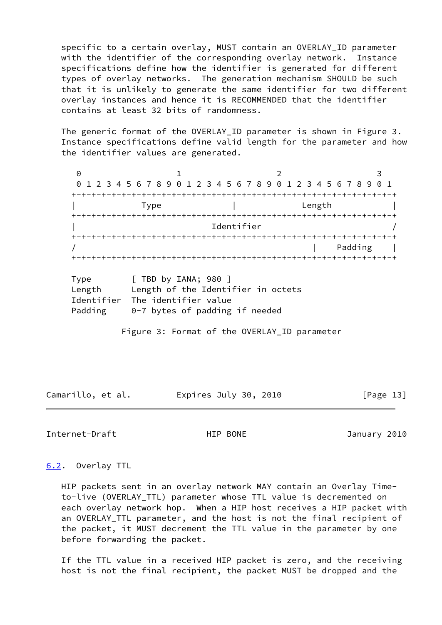specific to a certain overlay, MUST contain an OVERLAY\_ID parameter with the identifier of the corresponding overlay network. Instance specifications define how the identifier is generated for different types of overlay networks. The generation mechanism SHOULD be such that it is unlikely to generate the same identifier for two different overlay instances and hence it is RECOMMENDED that the identifier contains at least 32 bits of randomness.

 The generic format of the OVERLAY\_ID parameter is shown in Figure 3. Instance specifications define valid length for the parameter and how the identifier values are generated.

0 1 2 3 0 1 2 3 4 5 6 7 8 9 0 1 2 3 4 5 6 7 8 9 0 1 2 3 4 5 6 7 8 9 0 1 +-+-+-+-+-+-+-+-+-+-+-+-+-+-+-+-+-+-+-+-+-+-+-+-+-+-+-+-+-+-+-+-+ | Type | Length | Length +-+-+-+-+-+-+-+-+-+-+-+-+-+-+-+-+-+-+-+-+-+-+-+-+-+-+-+-+-+-+-+-+ Identifier +-+-+-+-+-+-+-+-+-+-+-+-+-+-+-+-+-+-+-+-+-+-+-+-+-+-+-+-+-+-+-+-+ / | Padding | +-+-+-+-+-+-+-+-+-+-+-+-+-+-+-+-+-+-+-+-+-+-+-+-+-+-+-+-+-+-+-+-+

| Type       | $\lceil$ TBD by IANA; 980 $\rceil$ |
|------------|------------------------------------|
| Length     | Length of the Identifier in octets |
| Identifier | The identifier value               |
| Padding    | $0-7$ bytes of padding if needed   |

Figure 3: Format of the OVERLAY\_ID parameter

Camarillo, et al. Expires July 30, 2010 [Page 13]

<span id="page-14-1"></span>Internet-Draft HIP BONE January 2010

#### <span id="page-14-0"></span>[6.2](#page-14-0). Overlay TTL

 HIP packets sent in an overlay network MAY contain an Overlay Time to-live (OVERLAY\_TTL) parameter whose TTL value is decremented on each overlay network hop. When a HIP host receives a HIP packet with an OVERLAY\_TTL parameter, and the host is not the final recipient of the packet, it MUST decrement the TTL value in the parameter by one before forwarding the packet.

 If the TTL value in a received HIP packet is zero, and the receiving host is not the final recipient, the packet MUST be dropped and the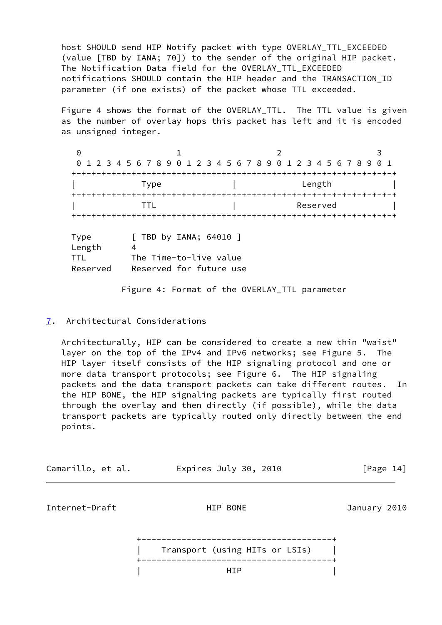host SHOULD send HIP Notify packet with type OVERLAY\_TTL\_EXCEEDED (value [TBD by IANA; 70]) to the sender of the original HIP packet. The Notification Data field for the OVERLAY\_TTL\_EXCEEDED notifications SHOULD contain the HIP header and the TRANSACTION\_ID parameter (if one exists) of the packet whose TTL exceeded.

Figure 4 shows the format of the OVERLAY TTL. The TTL value is given as the number of overlay hops this packet has left and it is encoded as unsigned integer.

0 1 2 3 0 1 2 3 4 5 6 7 8 9 0 1 2 3 4 5 6 7 8 9 0 1 2 3 4 5 6 7 8 9 0 1 +-+-+-+-+-+-+-+-+-+-+-+-+-+-+-+-+-+-+-+-+-+-+-+-+-+-+-+-+-+-+-+-+ | Type | Length | +-+-+-+-+-+-+-+-+-+-+-+-+-+-+-+-+-+-+-+-+-+-+-+-+-+-+-+-+-+-+-+-+ | TTL | Reserved | +-+-+-+-+-+-+-+-+-+-+-+-+-+-+-+-+-+-+-+-+-+-+-+-+-+-+-+-+-+-+-+-+ Type [ TBD by IANA; 64010 ] Length 4 TTL The Time-to-live value Reserved Reserved for future use

Figure 4: Format of the OVERLAY\_TTL parameter

# <span id="page-15-0"></span>[7](#page-15-0). Architectural Considerations

 Architecturally, HIP can be considered to create a new thin "waist" layer on the top of the IPv4 and IPv6 networks; see Figure 5. The HIP layer itself consists of the HIP signaling protocol and one or more data transport protocols; see Figure 6. The HIP signaling packets and the data transport packets can take different routes. In the HIP BONE, the HIP signaling packets are typically first routed through the overlay and then directly (if possible), while the data transport packets are typically routed only directly between the end points.

| Camarillo, et al. | Expires July 30, 2010 | [Page 14] |
|-------------------|-----------------------|-----------|
|-------------------|-----------------------|-----------|

Internet-Draft HIP BONE January 2010

 +--------------------------------------+ | Transport (using HITs or LSIs) | +--------------------------------------+ | HIP |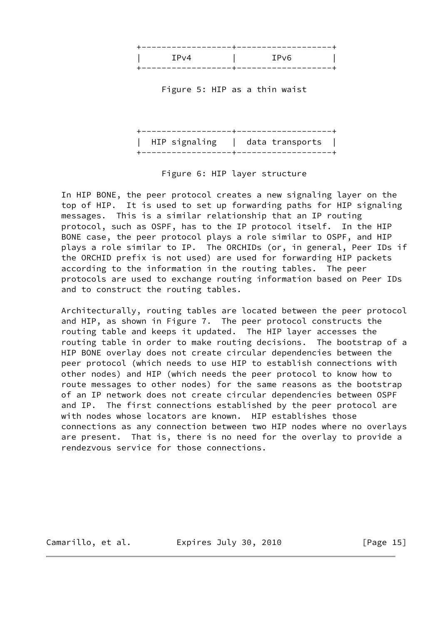

Figure 5: HIP as a thin waist

 +------------------+-------------------+ | HIP signaling | data transports | +------------------+-------------------+

Figure 6: HIP layer structure

 In HIP BONE, the peer protocol creates a new signaling layer on the top of HIP. It is used to set up forwarding paths for HIP signaling messages. This is a similar relationship that an IP routing protocol, such as OSPF, has to the IP protocol itself. In the HIP BONE case, the peer protocol plays a role similar to OSPF, and HIP plays a role similar to IP. The ORCHIDs (or, in general, Peer IDs if the ORCHID prefix is not used) are used for forwarding HIP packets according to the information in the routing tables. The peer protocols are used to exchange routing information based on Peer IDs and to construct the routing tables.

 Architecturally, routing tables are located between the peer protocol and HIP, as shown in Figure 7. The peer protocol constructs the routing table and keeps it updated. The HIP layer accesses the routing table in order to make routing decisions. The bootstrap of a HIP BONE overlay does not create circular dependencies between the peer protocol (which needs to use HIP to establish connections with other nodes) and HIP (which needs the peer protocol to know how to route messages to other nodes) for the same reasons as the bootstrap of an IP network does not create circular dependencies between OSPF and IP. The first connections established by the peer protocol are with nodes whose locators are known. HIP establishes those connections as any connection between two HIP nodes where no overlays are present. That is, there is no need for the overlay to provide a rendezvous service for those connections.

Camarillo, et al. Expires July 30, 2010 [Page 15]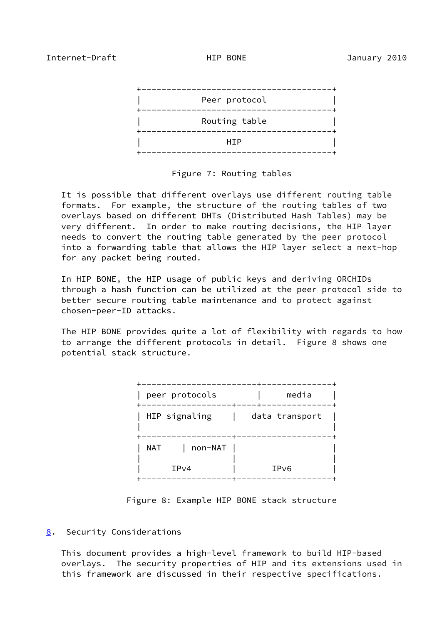<span id="page-17-1"></span>

Figure 7: Routing tables

 It is possible that different overlays use different routing table formats. For example, the structure of the routing tables of two overlays based on different DHTs (Distributed Hash Tables) may be very different. In order to make routing decisions, the HIP layer needs to convert the routing table generated by the peer protocol into a forwarding table that allows the HIP layer select a next-hop for any packet being routed.

 In HIP BONE, the HIP usage of public keys and deriving ORCHIDs through a hash function can be utilized at the peer protocol side to better secure routing table maintenance and to protect against chosen-peer-ID attacks.

 The HIP BONE provides quite a lot of flexibility with regards to how to arrange the different protocols in detail. Figure 8 shows one potential stack structure.

| peer protocols | media             |
|----------------|-------------------|
| HIP signaling  | data transport    |
| non-NAT<br>NAT |                   |
| IPv4           | IP <sub>v</sub> 6 |

Figure 8: Example HIP BONE stack structure

# <span id="page-17-0"></span>[8](#page-17-0). Security Considerations

 This document provides a high-level framework to build HIP-based overlays. The security properties of HIP and its extensions used in this framework are discussed in their respective specifications.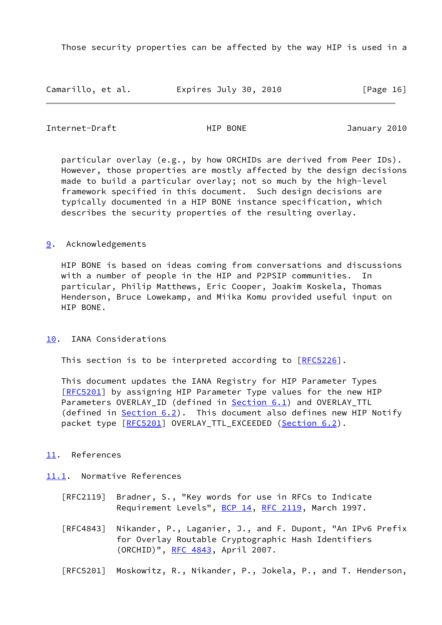Those security properties can be affected by the way HIP is used in a

Camarillo, et al. Expires July 30, 2010 [Page 16]

<span id="page-18-1"></span>Internet-Draft HIP BONE January 2010

 particular overlay (e.g., by how ORCHIDs are derived from Peer IDs). However, those properties are mostly affected by the design decisions made to build a particular overlay; not so much by the high-level framework specified in this document. Such design decisions are typically documented in a HIP BONE instance specification, which describes the security properties of the resulting overlay.

## <span id="page-18-0"></span>[9](#page-18-0). Acknowledgements

 HIP BONE is based on ideas coming from conversations and discussions with a number of people in the HIP and P2PSIP communities. In particular, Philip Matthews, Eric Cooper, Joakim Koskela, Thomas Henderson, Bruce Lowekamp, and Miika Komu provided useful input on HIP BONE.

<span id="page-18-2"></span>[10.](#page-18-2) IANA Considerations

This section is to be interpreted according to [\[RFC5226](https://datatracker.ietf.org/doc/pdf/rfc5226)].

 This document updates the IANA Registry for HIP Parameter Types [\[RFC5201](https://datatracker.ietf.org/doc/pdf/rfc5201)] by assigning HIP Parameter Type values for the new HIP Parameters OVERLAY\_ID (defined in **Section 6.1**) and OVERLAY\_TTL (defined in  $Section 6.2$ ). This document also defines new HIP Notify packet type  $[REC5201]$  OVERLAY\_TTL\_EXCEEDED ([Section 6.2\)](#page-14-0).

<span id="page-18-3"></span>[11.](#page-18-3) References

<span id="page-18-4"></span>[11.1](#page-18-4). Normative References

- [RFC2119] Bradner, S., "Key words for use in RFCs to Indicate Requirement Levels", [BCP 14](https://datatracker.ietf.org/doc/pdf/bcp14), [RFC 2119](https://datatracker.ietf.org/doc/pdf/rfc2119), March 1997.
- [RFC4843] Nikander, P., Laganier, J., and F. Dupont, "An IPv6 Prefix for Overlay Routable Cryptographic Hash Identifiers (ORCHID)", [RFC 4843](https://datatracker.ietf.org/doc/pdf/rfc4843), April 2007.
- [RFC5201] Moskowitz, R., Nikander, P., Jokela, P., and T. Henderson,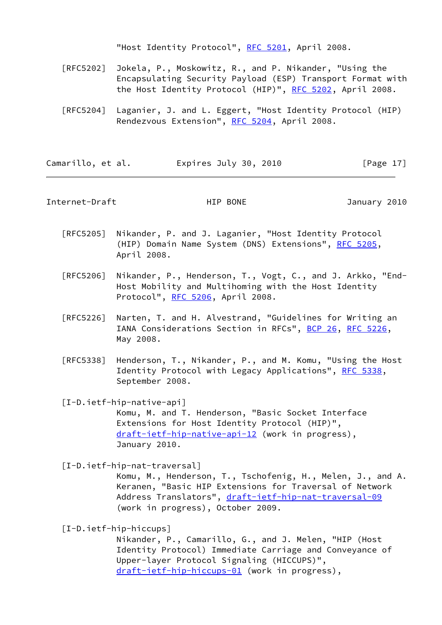"Host Identity Protocol", [RFC 5201](https://datatracker.ietf.org/doc/pdf/rfc5201), April 2008.

- [RFC5202] Jokela, P., Moskowitz, R., and P. Nikander, "Using the Encapsulating Security Payload (ESP) Transport Format with the Host Identity Protocol (HIP)", [RFC 5202](https://datatracker.ietf.org/doc/pdf/rfc5202), April 2008.
- [RFC5204] Laganier, J. and L. Eggert, "Host Identity Protocol (HIP) Rendezvous Extension", [RFC 5204](https://datatracker.ietf.org/doc/pdf/rfc5204), April 2008.

Camarillo, et al. Expires July 30, 2010 [Page 17]

<span id="page-19-0"></span>Internet-Draft HIP BONE January 2010

- [RFC5205] Nikander, P. and J. Laganier, "Host Identity Protocol (HIP) Domain Name System (DNS) Extensions", [RFC 5205,](https://datatracker.ietf.org/doc/pdf/rfc5205) April 2008.
- [RFC5206] Nikander, P., Henderson, T., Vogt, C., and J. Arkko, "End- Host Mobility and Multihoming with the Host Identity Protocol", [RFC 5206](https://datatracker.ietf.org/doc/pdf/rfc5206), April 2008.
- [RFC5226] Narten, T. and H. Alvestrand, "Guidelines for Writing an IANA Considerations Section in RFCs", [BCP 26](https://datatracker.ietf.org/doc/pdf/bcp26), [RFC 5226](https://datatracker.ietf.org/doc/pdf/rfc5226), May 2008.
- [RFC5338] Henderson, T., Nikander, P., and M. Komu, "Using the Host Identity Protocol with Legacy Applications", [RFC 5338](https://datatracker.ietf.org/doc/pdf/rfc5338), September 2008.

<span id="page-19-1"></span> [I-D.ietf-hip-native-api] Komu, M. and T. Henderson, "Basic Socket Interface Extensions for Host Identity Protocol (HIP)", [draft-ietf-hip-native-api-12](https://datatracker.ietf.org/doc/pdf/draft-ietf-hip-native-api-12) (work in progress), January 2010.

<span id="page-19-2"></span>[I-D.ietf-hip-nat-traversal]

 Komu, M., Henderson, T., Tschofenig, H., Melen, J., and A. Keranen, "Basic HIP Extensions for Traversal of Network Address Translators", [draft-ietf-hip-nat-traversal-09](https://datatracker.ietf.org/doc/pdf/draft-ietf-hip-nat-traversal-09) (work in progress), October 2009.

<span id="page-19-3"></span>[I-D.ietf-hip-hiccups]

 Nikander, P., Camarillo, G., and J. Melen, "HIP (Host Identity Protocol) Immediate Carriage and Conveyance of Upper-layer Protocol Signaling (HICCUPS)", [draft-ietf-hip-hiccups-01](https://datatracker.ietf.org/doc/pdf/draft-ietf-hip-hiccups-01) (work in progress),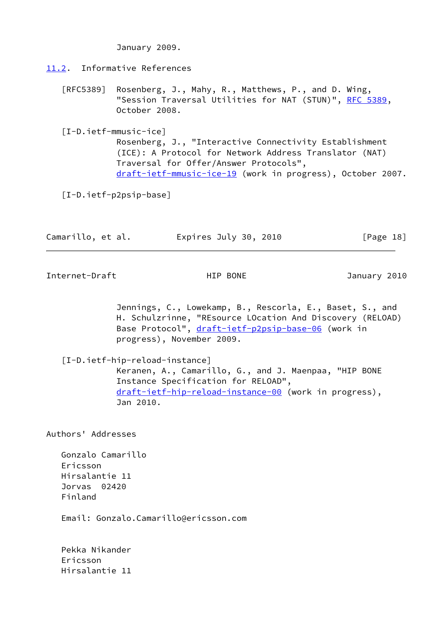January 2009.

## <span id="page-20-0"></span>[11.2](#page-20-0). Informative References

 [RFC5389] Rosenberg, J., Mahy, R., Matthews, P., and D. Wing, "Session Traversal Utilities for NAT (STUN)", [RFC 5389](https://datatracker.ietf.org/doc/pdf/rfc5389), October 2008.

<span id="page-20-2"></span>[I-D.ietf-mmusic-ice]

 Rosenberg, J., "Interactive Connectivity Establishment (ICE): A Protocol for Network Address Translator (NAT) Traversal for Offer/Answer Protocols", [draft-ietf-mmusic-ice-19](https://datatracker.ietf.org/doc/pdf/draft-ietf-mmusic-ice-19) (work in progress), October 2007.

<span id="page-20-3"></span>[I-D.ietf-p2psip-base]

| Camarillo, et al.<br>Expires July 30, 2010 | [Page 18] |  |
|--------------------------------------------|-----------|--|
|--------------------------------------------|-----------|--|

<span id="page-20-1"></span>Internet-Draft **HIP BONE** HIP BONE January 2010

 Jennings, C., Lowekamp, B., Rescorla, E., Baset, S., and H. Schulzrinne, "REsource LOcation And Discovery (RELOAD) Base Protocol", [draft-ietf-p2psip-base-06](https://datatracker.ietf.org/doc/pdf/draft-ietf-p2psip-base-06) (work in progress), November 2009.

<span id="page-20-4"></span>[I-D.ietf-hip-reload-instance]

 Keranen, A., Camarillo, G., and J. Maenpaa, "HIP BONE Instance Specification for RELOAD", [draft-ietf-hip-reload-instance-00](https://datatracker.ietf.org/doc/pdf/draft-ietf-hip-reload-instance-00) (work in progress), Jan 2010.

Authors' Addresses

 Gonzalo Camarillo Ericsson Hirsalantie 11 Jorvas 02420 Finland

Email: Gonzalo.Camarillo@ericsson.com

 Pekka Nikander Ericsson Hirsalantie 11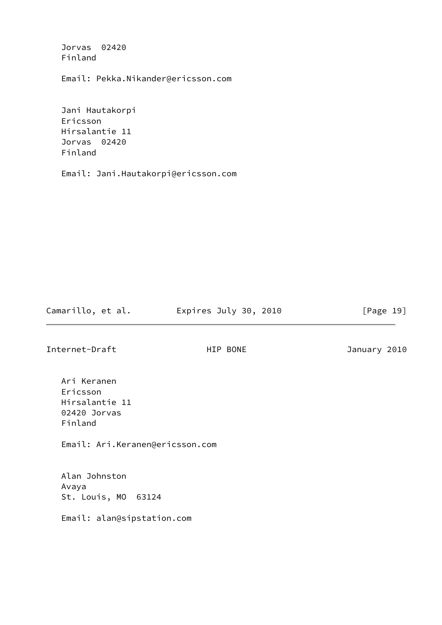Jorvas 02420 Finland

Email: Pekka.Nikander@ericsson.com

 Jani Hautakorpi Ericsson Hirsalantie 11 Jorvas 02420 Finland

Email: Jani.Hautakorpi@ericsson.com

Camarillo, et al. Expires July 30, 2010 [Page 19]

Internet-Draft HIP BONE January 2010

 Ari Keranen Ericsson Hirsalantie 11 02420 Jorvas Finland

Email: Ari.Keranen@ericsson.com

 Alan Johnston Avaya St. Louis, MO 63124

Email: alan@sipstation.com